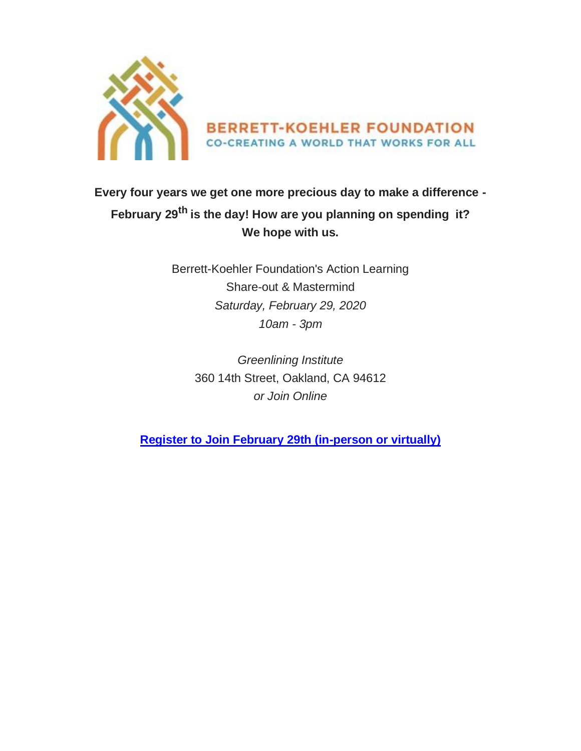

## **Every four years we get one more precious day to make a difference - February 29th is the day! How are you planning on spending it? We hope with us.**

Berrett-Koehler Foundation's Action Learning Share-out & Mastermind *Saturday, February 29, 2020 10am - 3pm*

*Greenlining Institute* 360 14th Street, Oakland, CA 94612 *or Join Online*

**[Register to Join February 29th \(in-person or virtually\)](https://www.flipcause.com/secure/cause_pdetails/NzQ5Nzg=)**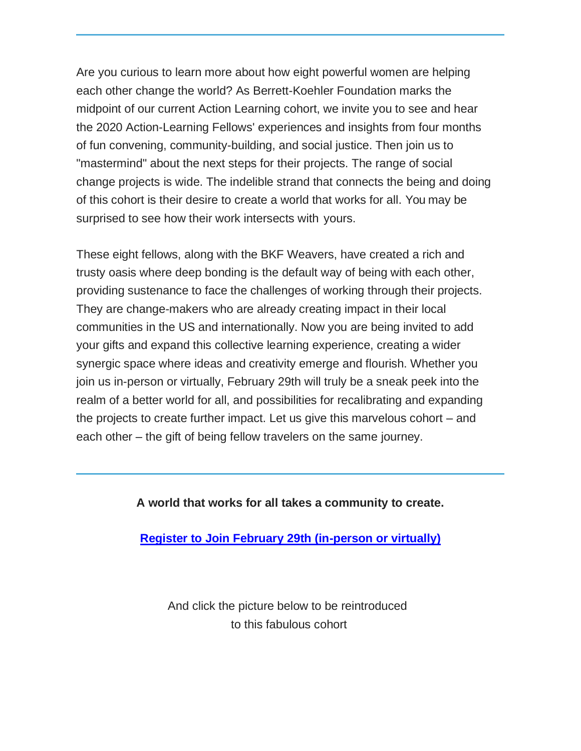Are you curious to learn more about how eight powerful women are helping each other change the world? As Berrett-Koehler Foundation marks the midpoint of our current Action Learning cohort, we invite you to see and hear the 2020 Action-Learning Fellows' experiences and insights from four months of fun convening, community-building, and social justice. Then join us to "mastermind" about the next steps for their projects. The range of social change projects is wide. The indelible strand that connects the being and doing of this cohort is their desire to create a world that works for all. You may be surprised to see how their work intersects with yours.

These eight fellows, along with the BKF Weavers, have created a rich and trusty oasis where deep bonding is the default way of being with each other, providing sustenance to face the challenges of working through their projects. They are change-makers who are already creating impact in their local communities in the US and internationally. Now you are being invited to add your gifts and expand this collective learning experience, creating a wider synergic space where ideas and creativity emerge and flourish. Whether you join us in-person or virtually, February 29th will truly be a sneak peek into the realm of a better world for all, and possibilities for recalibrating and expanding the projects to create further impact. Let us give this marvelous cohort – and each other – the gift of being fellow travelers on the same journey.

## **A world that works for all takes a community to create.**

**[Register to Join February 29th \(in-person or virtually\)](https://www.flipcause.com/secure/cause_pdetails/NzQ5Nzg=)**

And click the picture below to be reintroduced to this fabulous cohort